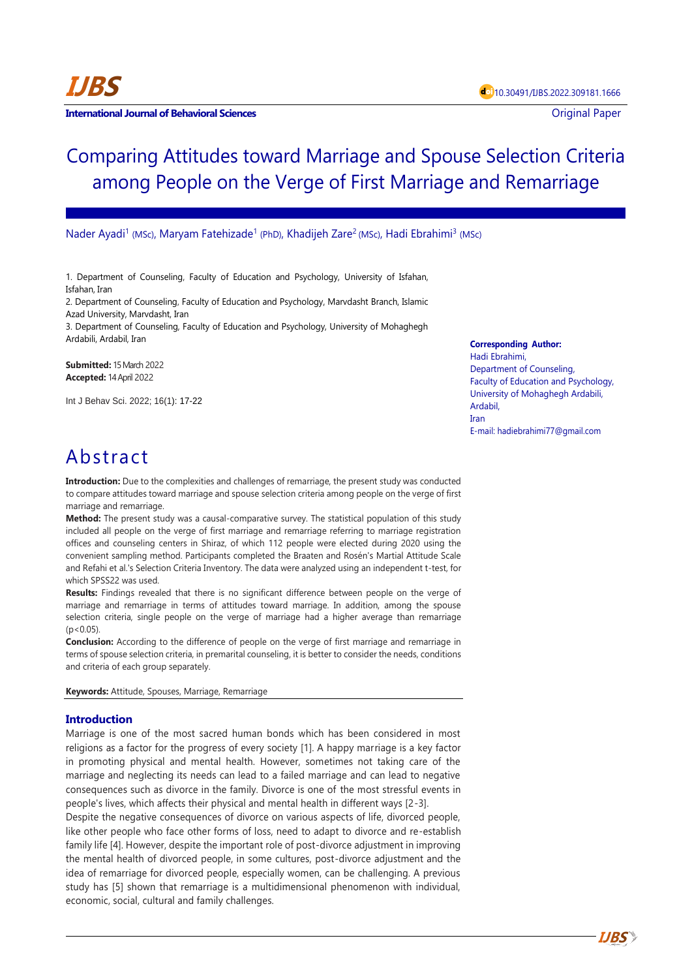**International Journal of Behavioral Sciences Contract Contract Contract Contract Contract Contract Contract Contract Contract Contract Contract Contract Contract Contract Contract Contract Contract Contract Contract Con** 

# Comparing Attitudes toward Marriage and Spouse Selection Criteria among People on the Verge of First Marriage and Remarriage

Nader Ayadi<sup>1</sup> (MSc), Maryam Fatehizade<sup>1</sup> (PhD), Khadijeh Zare<sup>2</sup> (MSc), Hadi Ebrahimi<sup>3</sup> (MSc)

1. Department of Counseling, Faculty of Education and Psychology, University of Isfahan, Isfahan, Iran

2. Department of Counseling, Faculty of Education and Psychology, Marvdasht Branch, Islamic Azad University, Marvdasht, Iran

3. Department of Counseling, Faculty of Education and Psychology, University of Mohaghegh Ardabili, Ardabil, Iran

**Submitted:** 15 March 2022 **Accepted:** 14 April 2022

Int J Behav Sci. 2022; 16(1): 17-22

#### **Corresponding Author:**

Hadi Ebrahimi, Department of Counseling, Faculty of Education and Psychology, University of Mohaghegh Ardabili, Ardabil, Iran E-mail: hadiebrahimi77@gmail.com

**IJBS**

## Abstract

**Introduction:** Due to the complexities and challenges of remarriage, the present study was conducted to compare attitudes toward marriage and spouse selection criteria among people on the verge of first marriage and remarriage.

**Method:** The present study was a causal-comparative survey. The statistical population of this study included all people on the verge of first marriage and remarriage referring to marriage registration offices and counseling centers in Shiraz, of which 112 people were elected during 2020 using the convenient sampling method. Participants completed the Braaten and Rosén's Martial Attitude Scale and Refahi et al.'s Selection Criteria Inventory. The data were analyzed using an independent t-test, for which SPSS22 was used.

**Results:** Findings revealed that there is no significant difference between people on the verge of marriage and remarriage in terms of attitudes toward marriage. In addition, among the spouse selection criteria, single people on the verge of marriage had a higher average than remarriage  $(p < 0.05)$ .

**Conclusion:** According to the difference of people on the verge of first marriage and remarriage in terms of spouse selection criteria, in premarital counseling, it is better to consider the needs, conditions and criteria of each group separately.

**Keywords:** Attitude, Spouses, Marriage, Remarriage

## **Introduction**

Marriage is one of the most sacred human bonds which has been considered in most religions as a factor for the progress of every society [1]. A happy marriage is a key factor in promoting physical and mental health. However, sometimes not taking care of the marriage and neglecting its needs can lead to a failed marriage and can lead to negative consequences such as divorce in the family. Divorce is one of the most stressful events in people's lives, which affects their physical and mental health in different ways [2-3].

Despite the negative consequences of divorce on various aspects of life, divorced people, like other people who face other forms of loss, need to adapt to divorce and re-establish family life [4]. However, despite the important role of post-divorce adjustment in improving the mental health of divorced people, in some cultures, post-divorce adjustment and the idea of remarriage for divorced people, especially women, can be challenging. A previous study has [5] shown that remarriage is a multidimensional phenomenon with individual, economic, social, cultural and family challenges.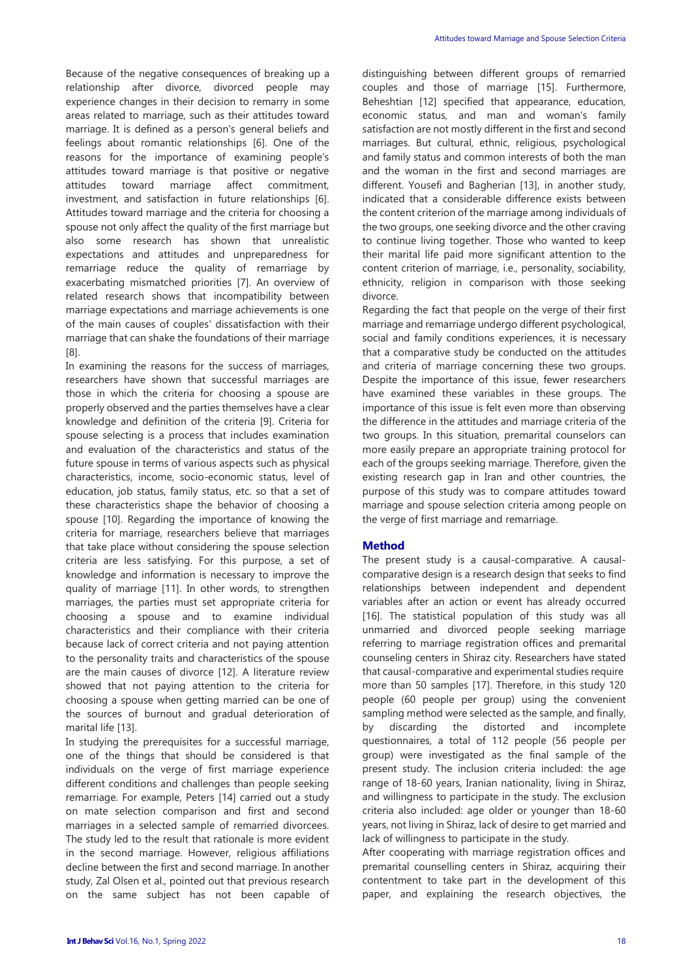Because of the negative consequences of breaking up a relationship after divorce, divorced people may experience changes in their decision to remarry in some areas related to marriage, such as their attitudes toward marriage. It is defined as a person's general beliefs and feelings about romantic relationships [6]. One of the reasons for the importance of examining people's attitudes toward marriage is that positive or negative attitudes toward marriage affect commitment, investment, and satisfaction in future relationships [6]. Attitudes toward marriage and the criteria for choosing a spouse not only affect the quality of the first marriage but also some research has shown that unrealistic expectations and attitudes and unpreparedness for remarriage reduce the quality of remarriage by exacerbating mismatched priorities [7]. An overview of related research shows that incompatibility between marriage expectations and marriage achievements is one of the main causes of couples' dissatisfaction with their marriage that can shake the foundations of their marriage [8].

In examining the reasons for the success of marriages, researchers have shown that successful marriages are those in which the criteria for choosing a spouse are properly observed and the parties themselves have a clear knowledge and definition of the criteria [9]. Criteria for spouse selecting is a process that includes examination and evaluation of the characteristics and status of the future spouse in terms of various aspects such as physical characteristics, income, socio-economic status, level of education, job status, family status, etc. so that a set of these characteristics shape the behavior of choosing a spouse [10]. Regarding the importance of knowing the criteria for marriage, researchers believe that marriages that take place without considering the spouse selection criteria are less satisfying. For this purpose, a set of knowledge and information is necessary to improve the quality of marriage [11]. In other words, to strengthen marriages, the parties must set appropriate criteria for choosing a spouse and to examine individual characteristics and their compliance with their criteria because lack of correct criteria and not paying attention to the personality traits and characteristics of the spouse are the main causes of divorce [12]. A literature review showed that not paying attention to the criteria for choosing a spouse when getting married can be one of the sources of burnout and gradual deterioration of marital life [13].

In studying the prerequisites for a successful marriage, one of the things that should be considered is that individuals on the verge of first marriage experience different conditions and challenges than people seeking remarriage. For example, Peters [14] carried out a study on mate selection comparison and first and second marriages in a selected sample of remarried divorcees. The study led to the result that rationale is more evident in the second marriage. However, religious affiliations decline between the first and second marriage. In another study, Zal Olsen et al., pointed out that previous research on the same subject has not been capable of distinguishing between different groups of remarried couples and those of marriage [15]. Furthermore, Beheshtian [12] specified that appearance, education, economic status, and man and woman's family satisfaction are not mostly different in the first and second marriages. But cultural, ethnic, religious, psychological and family status and common interests of both the man and the woman in the first and second marriages are different. Yousefi and Bagherian [13], in another study, indicated that a considerable difference exists between the content criterion of the marriage among individuals of the two groups, one seeking divorce and the other craving to continue living together. Those who wanted to keep their marital life paid more significant attention to the content criterion of marriage, i.e., personality, sociability, ethnicity, religion in comparison with those seeking divorce.

Regarding the fact that people on the verge of their first marriage and remarriage undergo different psychological, social and family conditions experiences, it is necessary that a comparative study be conducted on the attitudes and criteria of marriage concerning these two groups. Despite the importance of this issue, fewer researchers have examined these variables in these groups. The importance of this issue is felt even more than observing the difference in the attitudes and marriage criteria of the two groups. In this situation, premarital counselors can more easily prepare an appropriate training protocol for each of the groups seeking marriage. Therefore, given the existing research gap in Iran and other countries, the purpose of this study was to compare attitudes toward marriage and spouse selection criteria among people on the verge of first marriage and remarriage.

#### **Method**

The present study is a causal-comparative. A causalcomparative design is a research design that seeks to find relationships between independent and dependent variables after an action or event has already occurred [16]. The statistical population of this study was all unmarried and divorced people seeking marriage referring to marriage registration offices and premarital counseling centers in Shiraz city. Researchers have stated that causal-comparative and experimental studies require more than 50 samples [17]. Therefore, in this study 120 people (60 people per group) using the convenient sampling method were selected as the sample, and finally, by discarding the distorted and incomplete questionnaires, a total of 112 people (56 people per group) were investigated as the final sample of the present study. The inclusion criteria included: the age range of 18-60 years, Iranian nationality, living in Shiraz, and willingness to participate in the study. The exclusion criteria also included: age older or younger than 18-60 years, not living in Shiraz, lack of desire to get married and lack of willingness to participate in the study.

After cooperating with marriage registration offices and premarital counselling centers in Shiraz, acquiring their contentment to take part in the development of this paper, and explaining the research objectives, the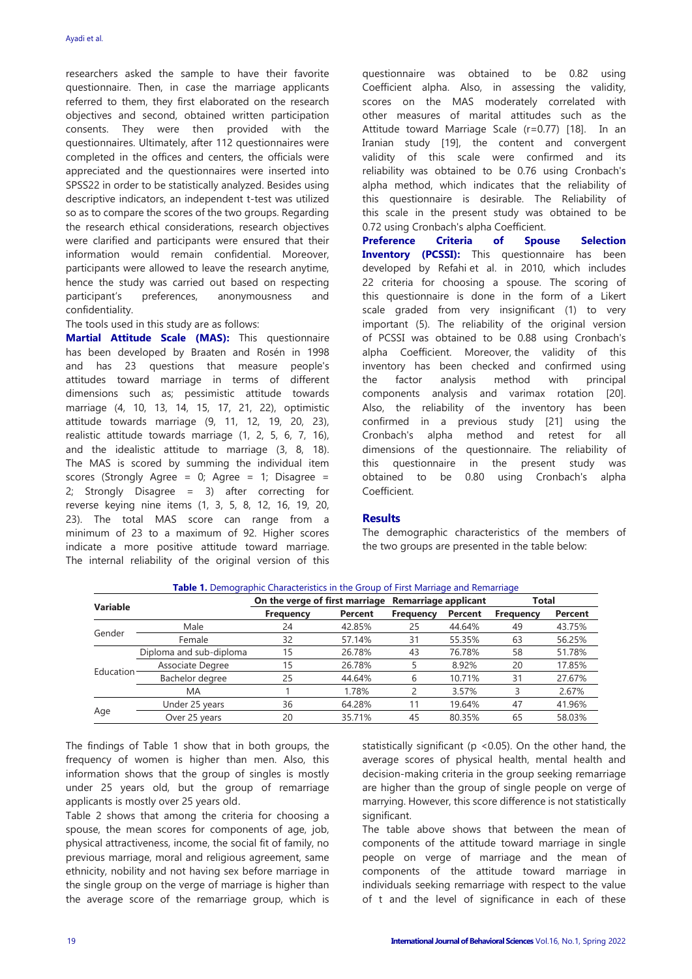researchers asked the sample to have their favorite questionnaire. Then, in case the marriage applicants referred to them, they first elaborated on the research objectives and second, obtained written participation consents. They were then provided with the questionnaires. Ultimately, after 112 questionnaires were completed in the offices and centers, the officials were appreciated and the questionnaires were inserted into SPSS22 in order to be statistically analyzed. Besides using descriptive indicators, an independent t-test was utilized so as to compare the scores of the two groups. Regarding the research ethical considerations, research objectives were clarified and participants were ensured that their information would remain confidential. Moreover, participants were allowed to leave the research anytime, hence the study was carried out based on respecting participant's preferences, anonymousness and confidentiality.

## The tools used in this study are as follows:

**Martial Attitude Scale (MAS):** This questionnaire has been developed by Braaten and Rosén in 1998 and has 23 questions that measure people's attitudes toward marriage in terms of different dimensions such as; pessimistic attitude towards marriage (4, 10, 13, 14, 15, 17, 21, 22), optimistic attitude towards marriage (9, 11, 12, 19, 20, 23), realistic attitude towards marriage (1, 2, 5, 6, 7, 16), and the idealistic attitude to marriage (3, 8, 18). The MAS is scored by summing the individual item scores (Strongly Agree = 0; Agree = 1; Disagree = 2; Strongly Disagree = 3) after correcting for reverse keying nine items (1, 3, 5, 8, 12, 16, 19, 20, 23). The total MAS score can range from a minimum of 23 to a maximum of 92. Higher scores indicate a more positive attitude toward marriage. The internal reliability of the original version of this questionnaire was obtained to be 0.82 using Coefficient alpha. Also, in assessing the validity, scores on the MAS moderately correlated with other measures of marital attitudes such as the Attitude toward Marriage Scale (r=0.77) [18]. In an Iranian study [19], the content and convergent validity of this scale were confirmed and its reliability was obtained to be 0.76 using Cronbach's alpha method, which indicates that the reliability of this questionnaire is desirable. The Reliability of this scale in the present study was obtained to be 0.72 using Cronbach's alpha Coefficient.

**Preference Criteria of Spouse Selection Inventory (PCSSI):** This questionnaire has been developed by Refahi et al. in 2010, which includes 22 criteria for choosing a spouse. The scoring of this questionnaire is done in the form of a Likert scale graded from very insignificant (1) to very important (5). The reliability of the original version of PCSSI was obtained to be 0.88 using Cronbach's alpha Coefficient. Moreover, the validity of this inventory has been checked and confirmed using the factor analysis method with principal components analysis and varimax rotation [20]. Also, the reliability of the inventory has been confirmed in a previous study [21] using the Cronbach's alpha method and retest for all dimensions of the questionnaire. The reliability of this questionnaire in the present study was obtained to be 0.80 using Cronbach's alpha Coefficient.

#### **Results**

The demographic characteristics of the members of the two groups are presented in the table below:

|           |                         | On the verge of first marriage |                | Remarriage applicant |         | Total            |                |
|-----------|-------------------------|--------------------------------|----------------|----------------------|---------|------------------|----------------|
| Variable  |                         | <b>Frequency</b>               | <b>Percent</b> | <b>Frequency</b>     | Percent | <b>Frequency</b> | <b>Percent</b> |
| Gender    | Male                    | 24                             | 42.85%         | 25                   | 44.64%  | 49               | 43.75%         |
|           | Female                  | 32                             | 57.14%         | 31                   | 55.35%  | 63               | 56.25%         |
| Education | Diploma and sub-diploma | 15                             | 26.78%         | 43                   | 76.78%  | 58               | 51.78%         |
|           | Associate Degree        | 15                             | 26.78%         |                      | 8.92%   | 20               | 17.85%         |
|           | Bachelor degree         | 25                             | 44.64%         | h                    | 10.71%  | 31               | 27.67%         |
|           | MA                      |                                | 1.78%          |                      | 3.57%   |                  | 2.67%          |
| Age       | Under 25 years          | 36                             | 64.28%         |                      | 19.64%  | 47               | 41.96%         |
|           | Over 25 years           | 20                             | 35.71%         | 45                   | 80.35%  | 65               | 58.03%         |

**Table 1.** Demographic Characteristics in the Group of First Marriage and Remarriage

The findings of Table 1 show that in both groups, the frequency of women is higher than men. Also, this information shows that the group of singles is mostly under 25 years old, but the group of remarriage applicants is mostly over 25 years old.

Table 2 shows that among the criteria for choosing a spouse, the mean scores for components of age, job, physical attractiveness, income, the social fit of family, no previous marriage, moral and religious agreement, same ethnicity, nobility and not having sex before marriage in the single group on the verge of marriage is higher than the average score of the remarriage group, which is statistically significant ( $p$  <0.05). On the other hand, the average scores of physical health, mental health and decision-making criteria in the group seeking remarriage are higher than the group of single people on verge of marrying. However, this score difference is not statistically significant.

The table above shows that between the mean of components of the attitude toward marriage in single people on verge of marriage and the mean of components of the attitude toward marriage in individuals seeking remarriage with respect to the value of t and the level of significance in each of these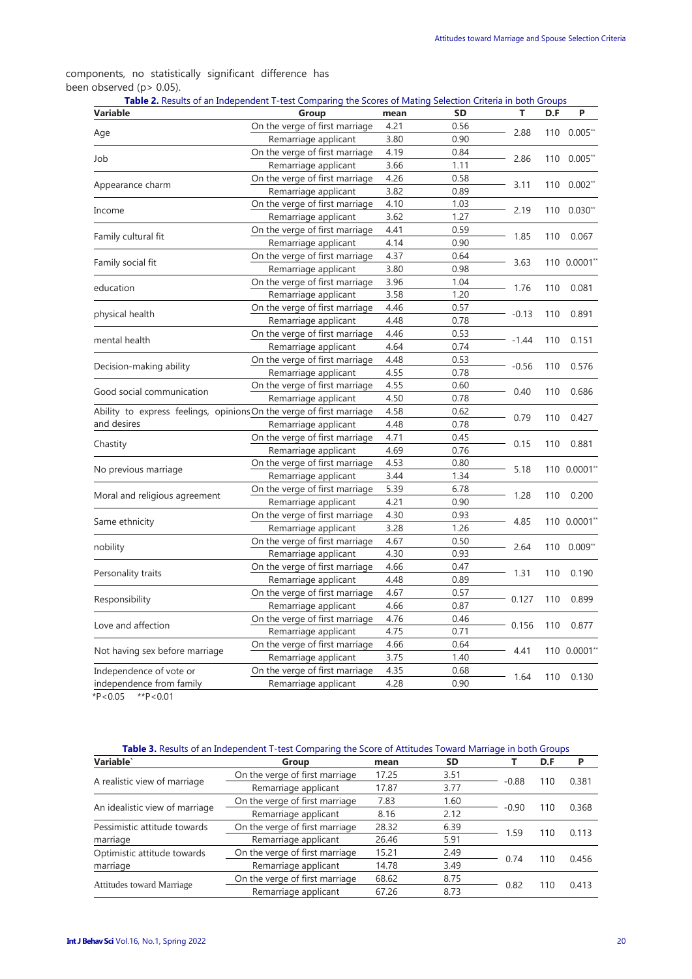## components, no statistically significant difference has been observed (p> 0.05).

| <b>Variable</b>                                                      | Group                          | mean | <b>SD</b> | T       | D.F | P           |
|----------------------------------------------------------------------|--------------------------------|------|-----------|---------|-----|-------------|
|                                                                      | On the verge of first marriage | 4.21 | 0.56      |         | 110 | $0.005**$   |
| Age                                                                  | Remarriage applicant           | 3.80 | 0.90      | 2.88    |     |             |
|                                                                      | On the verge of first marriage | 4.19 | 0.84      |         | 110 | $0.005$ **  |
| Job                                                                  | Remarriage applicant           | 3.66 | 1.11      | 2.86    |     |             |
|                                                                      | On the verge of first marriage | 4.26 | 0.58      |         | 110 | $0.002**$   |
| Appearance charm                                                     | Remarriage applicant           | 3.82 | 0.89      | 3.11    |     |             |
|                                                                      | On the verge of first marriage | 4.10 | 1.03      |         |     | 110 0.030** |
| Income                                                               | Remarriage applicant           | 3.62 | 1.27      | 2.19    |     |             |
|                                                                      | On the verge of first marriage | 4.41 | 0.59      |         | 110 | 0.067       |
| Family cultural fit                                                  | Remarriage applicant           | 4.14 | 0.90      | 1.85    |     |             |
|                                                                      | On the verge of first marriage | 4.37 | 0.64      |         |     | 110 0.0001* |
| Family social fit                                                    | Remarriage applicant           | 3.80 | 0.98      | 3.63    |     |             |
|                                                                      | On the verge of first marriage | 3.96 | 1.04      |         |     | 0.081       |
| education                                                            | Remarriage applicant           | 3.58 | 1.20      | 1.76    | 110 |             |
|                                                                      | On the verge of first marriage | 4.46 | 0.57      |         | 110 | 0.891       |
| physical health                                                      | Remarriage applicant           | 4.48 | 0.78      | $-0.13$ |     |             |
|                                                                      | On the verge of first marriage | 4.46 | 0.53      |         |     | 0.151       |
| mental health                                                        | Remarriage applicant           | 4.64 | 0.74      | $-1.44$ | 110 |             |
|                                                                      | On the verge of first marriage | 4.48 | 0.53      |         | 110 | 0.576       |
| Decision-making ability                                              | Remarriage applicant           | 4.55 | 0.78      | $-0.56$ |     |             |
|                                                                      | On the verge of first marriage | 4.55 | 0.60      |         |     | 0.686       |
| Good social communication                                            | Remarriage applicant           | 4.50 | 0.78      | 0.40    | 110 |             |
| Ability to express feelings, opinions On the verge of first marriage |                                | 4.58 | 0.62      |         | 110 | 0.427       |
| and desires                                                          | Remarriage applicant           | 4.48 | 0.78      | 0.79    |     |             |
|                                                                      | On the verge of first marriage | 4.71 | 0.45      |         |     |             |
| Chastity                                                             | Remarriage applicant           | 4.69 | 0.76      | 0.15    | 110 | 0.881       |
|                                                                      | On the verge of first marriage | 4.53 | 0.80      |         |     |             |
| No previous marriage                                                 | Remarriage applicant           | 3.44 | 1.34      | 5.18    |     | 110 0.0001* |
|                                                                      | On the verge of first marriage | 5.39 | 6.78      |         |     |             |
| Moral and religious agreement                                        | Remarriage applicant           | 4.21 | 0.90      | 1.28    | 110 | 0.200       |
|                                                                      | On the verge of first marriage | 4.30 | 0.93      |         |     |             |
| Same ethnicity                                                       | Remarriage applicant           | 3.28 | 1.26      | 4.85    |     | 110 0.0001* |
|                                                                      | On the verge of first marriage | 4.67 | 0.50      |         |     | $0.009**$   |
| nobility                                                             | Remarriage applicant           | 4.30 | 0.93      | 2.64    | 110 |             |
|                                                                      | On the verge of first marriage | 4.66 | 0.47      |         |     | 0.190       |
| Personality traits                                                   | Remarriage applicant           | 4.48 | 0.89      | 1.31    | 110 |             |
|                                                                      | On the verge of first marriage | 4.67 | 0.57      |         |     | 0.899       |
| Responsibility                                                       | Remarriage applicant           | 4.66 | 0.87      | 0.127   | 110 |             |
|                                                                      | On the verge of first marriage | 4.76 | 0.46      |         |     | 0.877       |
| Love and affection                                                   | Remarriage applicant           | 4.75 | 0.71      | 0.156   | 110 |             |
|                                                                      | On the verge of first marriage | 4.66 | 0.64      |         |     | 110 0.0001* |
| Not having sex before marriage                                       | Remarriage applicant           | 3.75 | 1.40      | 4.41    |     |             |
| Independence of vote or                                              | On the verge of first marriage | 4.35 | 0.68      |         |     |             |
| independence from family                                             | Remarriage applicant           | 4.28 | 0.90      | 1.64    | 110 | 0.130       |
|                                                                      |                                |      |           |         |     |             |

 $*P < 0.05$   $*P < 0.01$ 

## **Table 3.** Results of an Independent T-test Comparing the Score of Attitudes Toward Marriage in both Groups

| Variable`                      | Group                          | mean  | SD   |         | D.F | Р     |
|--------------------------------|--------------------------------|-------|------|---------|-----|-------|
|                                | On the verge of first marriage | 17.25 | 3.51 |         | 110 | 0.381 |
| A realistic view of marriage   | Remarriage applicant           | 17.87 | 3.77 | $-0.88$ |     |       |
|                                | On the verge of first marriage | 7.83  | 1.60 |         | 110 | 0.368 |
| An idealistic view of marriage | Remarriage applicant           | 8.16  | 2.12 | $-0.90$ |     |       |
| Pessimistic attitude towards   | On the verge of first marriage | 28.32 | 6.39 | 1.59    | 110 | 0.113 |
| marriage                       | Remarriage applicant           | 26.46 | 5.91 |         |     |       |
| Optimistic attitude towards    | On the verge of first marriage | 15.21 | 2.49 |         |     | 0.456 |
| marriage                       | Remarriage applicant           | 14.78 | 3.49 | 0.74    | 110 |       |
|                                | On the verge of first marriage | 68.62 | 8.75 |         |     | 0.413 |
| Attitudes toward Marriage      | Remarriage applicant           | 67.26 | 8.73 | 0.82    |     |       |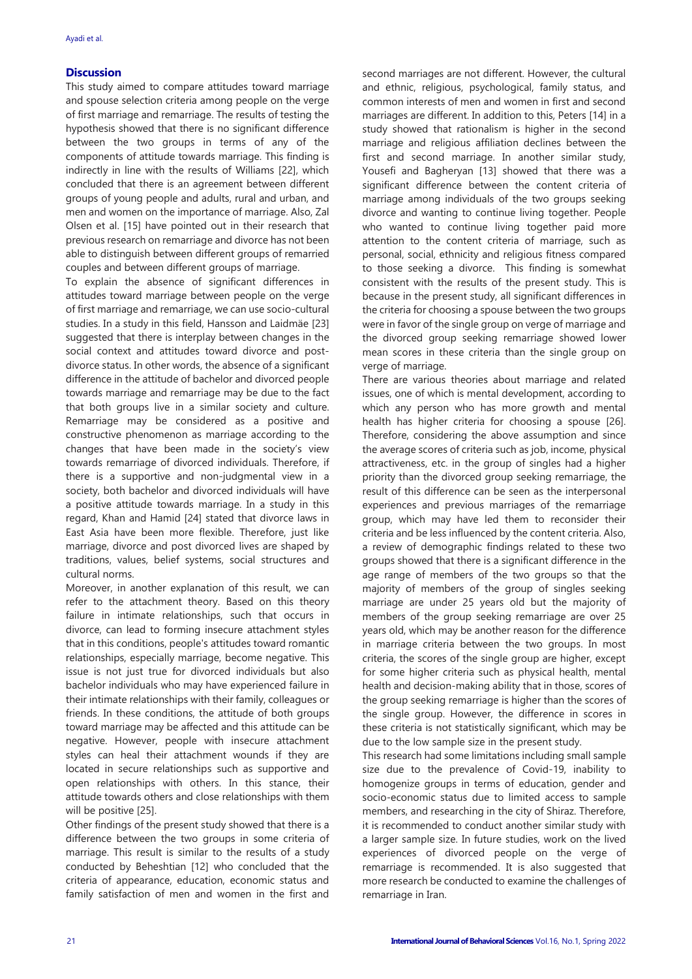#### **Discussion**

This study aimed to compare attitudes toward marriage and spouse selection criteria among people on the verge of first marriage and remarriage. The results of testing the hypothesis showed that there is no significant difference between the two groups in terms of any of the components of attitude towards marriage. This finding is indirectly in line with the results of Williams [22], which concluded that there is an agreement between different groups of young people and adults, rural and urban, and men and women on the importance of marriage. Also, Zal Olsen et al. [15] have pointed out in their research that previous research on remarriage and divorce has not been able to distinguish between different groups of remarried couples and between different groups of marriage.

To explain the absence of significant differences in attitudes toward marriage between people on the verge of first marriage and remarriage, we can use socio-cultural studies. In a study in this field, Hansson and Laidmäe [23] suggested that there is interplay between changes in the social context and attitudes toward divorce and postdivorce status. In other words, the absence of a significant difference in the attitude of bachelor and divorced people towards marriage and remarriage may be due to the fact that both groups live in a similar society and culture. Remarriage may be considered as a positive and constructive phenomenon as marriage according to the changes that have been made in the society's view towards remarriage of divorced individuals. Therefore, if there is a supportive and non-judgmental view in a society, both bachelor and divorced individuals will have a positive attitude towards marriage. In a study in this regard, Khan and Hamid [24] stated that divorce laws in East Asia have been more flexible. Therefore, just like marriage, divorce and post divorced lives are shaped by traditions, values, belief systems, social structures and cultural norms.

Moreover, in another explanation of this result, we can refer to the attachment theory. Based on this theory failure in intimate relationships, such that occurs in divorce, can lead to forming insecure attachment styles that in this conditions, people's attitudes toward romantic relationships, especially marriage, become negative. This issue is not just true for divorced individuals but also bachelor individuals who may have experienced failure in their intimate relationships with their family, colleagues or friends. In these conditions, the attitude of both groups toward marriage may be affected and this attitude can be negative. However, people with insecure attachment styles can heal their attachment wounds if they are located in secure relationships such as supportive and open relationships with others. In this stance, their attitude towards others and close relationships with them will be positive [25].

Other findings of the present study showed that there is a difference between the two groups in some criteria of marriage. This result is similar to the results of a study conducted by Beheshtian [12] who concluded that the criteria of appearance, education, economic status and family satisfaction of men and women in the first and second marriages are not different. However, the cultural and ethnic, religious, psychological, family status, and common interests of men and women in first and second marriages are different. In addition to this, Peters [14] in a study showed that rationalism is higher in the second marriage and religious affiliation declines between the first and second marriage. In another similar study, Yousefi and Bagheryan [13] showed that there was a significant difference between the content criteria of marriage among individuals of the two groups seeking divorce and wanting to continue living together. People who wanted to continue living together paid more attention to the content criteria of marriage, such as personal, social, ethnicity and religious fitness compared to those seeking a divorce. This finding is somewhat consistent with the results of the present study. This is because in the present study, all significant differences in the criteria for choosing a spouse between the two groups were in favor of the single group on verge of marriage and the divorced group seeking remarriage showed lower mean scores in these criteria than the single group on verge of marriage.

There are various theories about marriage and related issues, one of which is mental development, according to which any person who has more growth and mental health has higher criteria for choosing a spouse [26]. Therefore, considering the above assumption and since the average scores of criteria such as job, income, physical attractiveness, etc. in the group of singles had a higher priority than the divorced group seeking remarriage, the result of this difference can be seen as the interpersonal experiences and previous marriages of the remarriage group, which may have led them to reconsider their criteria and be less influenced by the content criteria. Also, a review of demographic findings related to these two groups showed that there is a significant difference in the age range of members of the two groups so that the majority of members of the group of singles seeking marriage are under 25 years old but the majority of members of the group seeking remarriage are over 25 years old, which may be another reason for the difference in marriage criteria between the two groups. In most criteria, the scores of the single group are higher, except for some higher criteria such as physical health, mental health and decision-making ability that in those, scores of the group seeking remarriage is higher than the scores of the single group. However, the difference in scores in these criteria is not statistically significant, which may be due to the low sample size in the present study.

This research had some limitations including small sample size due to the prevalence of Covid-19, inability to homogenize groups in terms of education, gender and socio-economic status due to limited access to sample members, and researching in the city of Shiraz. Therefore, it is recommended to conduct another similar study with a larger sample size. In future studies, work on the lived experiences of divorced people on the verge of remarriage is recommended. It is also suggested that more research be conducted to examine the challenges of remarriage in Iran.